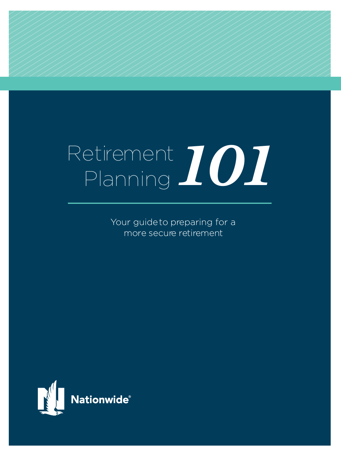# Retirement Planning *101*

Your guide to preparing for a more secure retirement

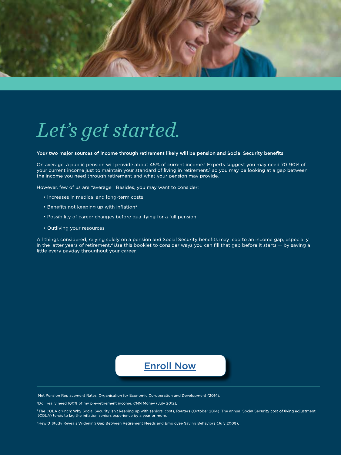

# *Let's get started.*

Your two major sources of income through retirement likely will be pension and Social Security benefits.

On average, a public pension will provide about 45% of current income.<sup>1</sup> Experts suggest you may need 70-90% of your current income just to maintain your standard of living in retirement,<sup>2</sup> so you may be looking at a gap between the income you need through retirement and what your pension may provide.

However, few of us are "average." Besides, you may want to consider:

- . Increases in medical and long-term costs
- Benefits not keeping up with inflation<sup>3</sup>
- Possibility of career changes before qualifying for a full pension
- Outliving your resources

All things considered, relying solely on a pension and Social Security benefits may lead to an income gap, especially in the latter years of retirement.<sup>4</sup> Use this booklet to consider ways you can fill that gap before it starts - by saving a little every payday throughout your career.

#### [Enroll Now](http://www.cookcountydc.com/enrollnow)

<sup>1</sup>Net Pension Replacement Rates, Organisation for Economic Co-operation and Development (2014).

<sup>2</sup>Do I really need 100% of my pre-retirement income, CNN Money (July 2012).

<sup>3</sup> The COLA crunch: Why Social Security isn't keeping up with seniors' costs, Reuters (October 2014). The annual Social Security cost of living adjustment (COLA) tends to lag the inflation seniors experience by a year or more.

4Hewitt Study Reveals Widening Gap Between Retirement Needs and Employee Saving Behaviors (July 2008).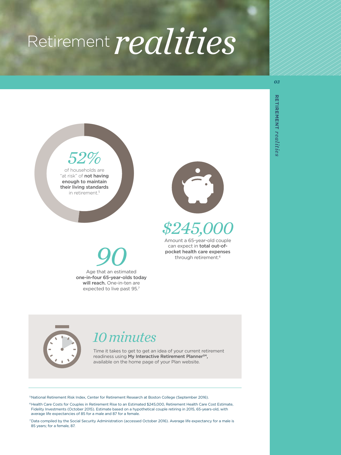## *realities* Retirement



Age that an estimated *90* one-in-four 65-year-olds today will reach. One-in-ten are expected to live past 95.7



## *\$245,000*

Amount a 65-year-old couple can expect in total out-ofpocket health care expenses through retirement.6



## *10 minutes*

Time it takes to get to get an idea of your current retirement readiness using My Interactive Retirement Planner<sup>sM</sup>, available on the home page of your Plan website.

5 National Retirement Risk Index, Center for Retirement Research at Boston College (September 2016).

<sup>6</sup> Health Care Costs for Couples in Retirement Rise to an Estimated \$245,000, Retirement Health Care Cost Estimate, Fidelity Investments (October 2015). Estimate based on a hypothetical couple retiring in 2015, 65-years-old, with average life expectancies of 85 for a male and 87 for a female.

7 Data compiled by the Social Security Administration (accessed October 2016). Average life expectancy for a male is 85 years; for a female, 87.

**RETIREMENT** 

**RETIREMENT realities** 

*realities*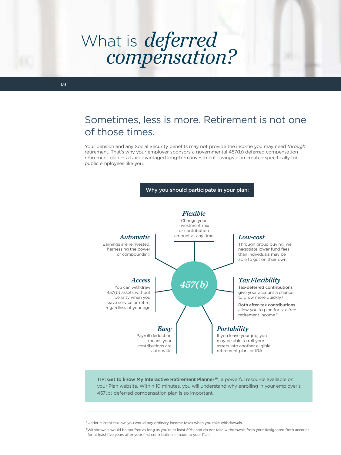# What is *deferred*<br>compensation?

### Sometimes, less is more. Retirement is not one of those times.

Your pension and any Social Security benefits may not provide the income you may need *through* retirement. That's why your employer sponsors a governmental 457(b) deferred compensation retirement plan — a tax-advantaged long-term investment savings plan created specifically for public employees like you.

#### Why you should participate in your plan:



TIP: Get to know My Interactive Retirement PlannerSM, a powerful resource available on your Plan website. Within 10 minutes, you will understand why enrolling in your employer's 457(b) deferred compensation plan is so important.

<sup>8</sup> Under current tax law, you would pay ordinary income taxes when you take withdrawals.

9 Withdrawals would be tax-free as long as you're at least 59½, and do not take withdrawals from your designated Roth account for at least five years after your first contribution is made to your Plan.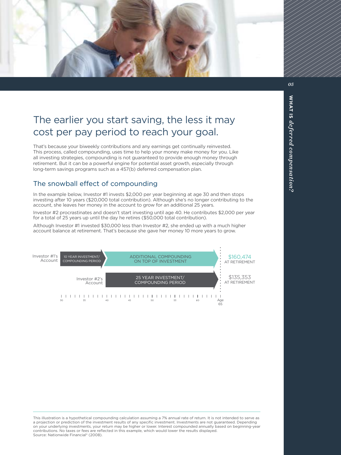

## The earlier you start saving, the less it may cost per pay period to reach your goal.

That's because your biweekly contributions and any earnings get continually reinvested. This process, called compounding, uses time to help your money make money for you. Like all investing strategies, compounding is not guaranteed to provide enough money through retirement. But it can be a powerful engine for potential asset growth, especially through long-term savings programs such as a 457(b) deferred compensation plan.

#### The snowball effect of compounding

In the example below, Investor #1 invests \$2,000 per year beginning at age 30 and then stops investing after 10 years (\$20,000 total contribution). Although she's no longer contributing to the account, she leaves her money in the account to grow for an additional 25 years.

Investor #2 procrastinates and doesn't start investing until age 40. He contributes \$2,000 per year for a total of 25 years up until the day he retires (\$50,000 total contribution).

Although Investor #1 invested \$30,000 less than Investor #2, she ended up with a much higher account balance at retirement. That's because she gave her money 10 more years to grow.



This illustration is a hypothetical compounding calculation assuming a 7% annual rate of return. It is not intended to serve as a projection or prediction of the investment results of any specific investment. Investments are not guaranteed. Depending on your underlying investments, your return may be higher or lower. Interest compounded annually based on beginning-year contributions. No taxes or fees are reflected in this example, which would lower the results displayed. Source: Nationwide Financial® (2008).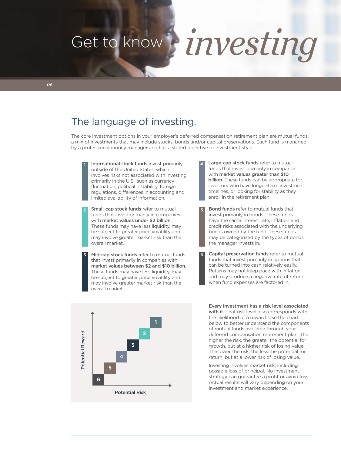# Get to know *investing*

### The language of investing.

The core investment options in your employer's deferred compensation retirement plan are mutual funds, a mix of investments that may include stocks, bonds and/or capital preservations. Each fund is managed by a professional money manager and has a stated objective or investment style.

**1 4** International stock funds invest primarily outside of the United States, which involves risks not associated with investing primarily in the U.S., such as currency fluctuation, political instability, foreign regulations, differences in accounting and limited availability of information.

**2 5** Small-cap stock funds refer to mutual funds that invest primarily in companies with market values under \$2 billion. These funds may have less liquidity, may be subject to greater price volatility and may involve greater market risk than the overall market.

**5** Mid-cap stock funds refer to mutual funds 6 that invest primarily in companies with market values between \$2 and \$10 billion. These funds may have less liquidity, may be subject to greater price volatility and may involve greater market risk than the overall market.

- Large-cap stock funds refer to mutual funds that invest primarily in companies with market values greater than \$10 billion. These funds can be appropriate for investors who have longer-term investment timelines, or looking for stability as they enroll in the retirement plan.
- Bond funds refer to mutual funds that invest primarily in bonds. These funds have the same interest rate, inflation and credit risks associated with the underlying bonds owned by the fund. These funds may be categorized by the types of bonds the manager invests in.
- Capital preservation funds refer to mutual funds that invest primarily in options that can be turned into cash relatively easily. Returns may not keep pace with inflation, and may produce a negative rate of return when fund expenses are factored in.



Every investment has a risk level associated with it. That risk level also corresponds with the likelihood of a reward. Use the chart below to better understand the components of mutual funds available through your deferred compensation retirement plan. The higher the risk, the greater the potential for growth, but at a higher risk of losing value. The lower the risk, the less the potential for return, but at a lower risk of losing value.

Investing involves market risk, including possible loss of principal. No investment strategy can guarantee a profit or avoid loss. Actual results will vary depending on your investment and market experience.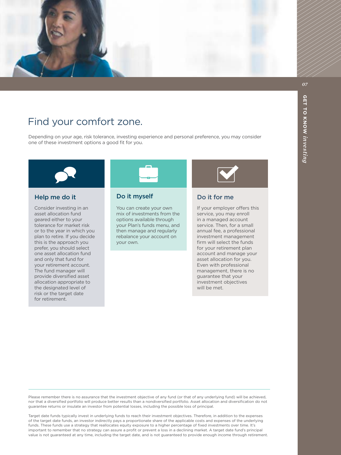

## Find your comfort zone.

Depending on your age, risk tolerance, investing experience and personal preference, you may consider one of these investment options a good fit for you.



Consider investing in an asset allocation fund geared either to your tolerance for market risk or to the year in which you plan to retire. If you decide this is the approach you prefer, you should select one asset allocation fund and only that fund for your retirement account. The fund manager will provide diversified asset allocation appropriate to the designated level of risk or the target date for retirement.

#### Help me do it **Do it myself**

You can create your own mix of investments from the options available through your Plan's funds menu, and then manage and regularly rebalance your account on your own.



#### Do it for me

If your employer offers this service, you may enroll in a managed account service. Then, for a small annual fee, a professional investment management firm will select the funds for your retirement plan account and manage your asset allocation for you. Even with professional management, there is no guarantee that your investment objectives will be met.

Please remember there is no assurance that the investment objective of any fund (or that of any underlying fund) will be achieved, nor that a diversified portfolio will produce better results than a nondiversified portfolio. Asset allocation and diversification do not guarantee returns or insulate an investor from potential losses, including the possible loss of principal.

Target date funds typically invest in underlying funds to reach their investment objectives. Therefore, in addition to the expenses of the target date funds, an investor indirectly pays a proportionate share of the applicable costs and expenses of the underlying funds. These funds use a strategy that reallocates equity exposure to a higher percentage of fixed investments over time. It's important to remember that no strategy can assure a profit or prevent a loss in a declining market. A target date fund's principal value is not guaranteed at any time, including the target date, and is not guaranteed to provide enough income through retirement.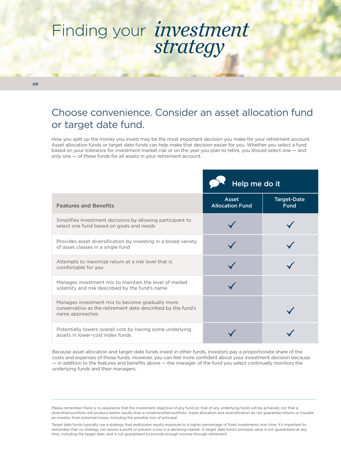## Finding your *investment strategy*

*08*

### Choose convenience. Consider an asset allocation fund or target date fund.

How you split up the money you invest may be the most important decision you make for your retirement account. Asset allocation funds or target date funds can help make that decision easier for you. Whether you select a fund based on your tolerance for investment market risk or on the year you plan to retire, you should select one — and only one — of these funds for all assets in your retirement account.

|                                                                                                                                   | Help me do it                          |                                   |  |
|-----------------------------------------------------------------------------------------------------------------------------------|----------------------------------------|-----------------------------------|--|
| <b>Features and Benefits</b>                                                                                                      | <b>Asset</b><br><b>Allocation Fund</b> | <b>Target-Date</b><br><b>Fund</b> |  |
| Simplifies investment decisions by allowing participant to<br>select one fund based on goals and needs                            |                                        |                                   |  |
| Provides asset diversification by investing in a broad variety<br>of asset classes in a single fund                               |                                        |                                   |  |
| Attempts to maximize return at a risk level that is<br>comfortable for you                                                        |                                        |                                   |  |
| Manages investment mix to maintain the level of market<br>volatility and risk described by the fund's name                        |                                        |                                   |  |
| Manages investment mix to become gradually more<br>conservative as the retirement date described by the fund's<br>name approaches |                                        |                                   |  |
| Potentially lowers overall cost by having some underlying<br>assets in lower-cost index funds                                     |                                        |                                   |  |

Because asset allocation and target-date funds invest in other funds, investors pay a proportionate share of the costs and expenses of those funds. However, you can feel more confident about your investment decision because — in addition to the features and benefits above — the manager of the fund you select continually monitors the underlying funds and their managers.

Please remember there is no assurance that the investment objective of any fund (or that of any underlying fund) will be achieved, nor that a diversified portfolio will produce better results than a nondiversified portfolio. Asset allocation and diversification do not guarantee returns or insulate an investor from potential losses, including the possible loss of principal.

Target date funds typically use a strategy that reallocates equity exposure to a higher percentage of fixed investments over time. It's important to remember that no strategy can assure a profit or prevent a loss in a declining market. A target date fund's principal value is not guaranteed at any time, including the target date, and is not guaranteed to provide enough income through retirement.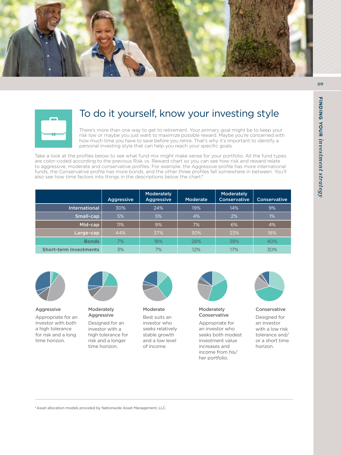





#### To do it yourself, know your investing style

There's more than one way to get to retirement. Your primary goal might be to keep your risk low or maybe you just want to maximize possible reward. Maybe you're concerned with how much time you have to save before you retire. That's why it's important to identify a personal investing style that can help you reach your specific goals.

Take a look at the profiles below to see what fund mix might make sense for your portfolio. All the fund types are color-coded according to the previous Risk vs. Reward chart so you can see how risk and reward relate to aggressive, moderate and conservative profiles. For example: the Aggressive profile has more international funds, the Conservative profile has more bonds, and the other three profiles fall somewhere in between. You'll also see how time factors into things in the descriptions below the chart.\*

|                               | <b>Aggressive</b> | <b>Moderately</b><br><b>Aggressive</b> | Moderate | Moderately<br><b>Conservative</b> | Conservative |
|-------------------------------|-------------------|----------------------------------------|----------|-----------------------------------|--------------|
| International                 | 30%               | 24%                                    | 19%      | 14%                               | 9%           |
| Small-cap                     | 5%                | 5%                                     | 4%       | 2%                                | $1\%$        |
| Mid-cap                       | 11%               | 9%                                     | 7%       | 6%                                | 4%           |
| Large-cap                     | 44%               | 37%                                    | 30%      | 23%                               | 16%          |
| <b>Bonds</b>                  | 7%                | 18%                                    | 28%      | 38%                               | 40%          |
| <b>Short-term Investments</b> | 3%                | 7%                                     | 12%      | 17%                               | 30%          |



Aggressive

Appropriate for an investor with both a high tolerance for risk and a long time horizon.



Moderately Aggressive

Designed for an investor with a high tolerance for risk and a longer time horizon.



Moderate

Best suits an investor who seeks relatively stable growth and a low level of income.



**Moderately** Conservative

Appropriate for an investor who seeks both modest investment value increases and income from his/ her portfolio.



Conservative

Designed for an investor with a low risk tolerance and/ or a short time horizon.

\* Asset allocation models provided by Nationwide Asset Management, LLC.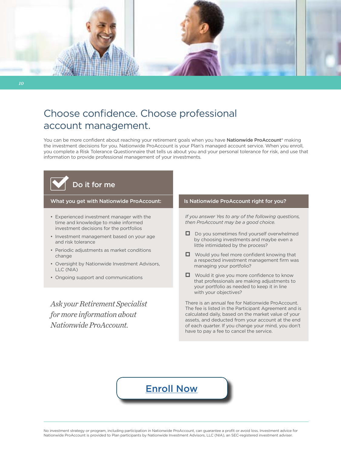

## Choose confidence. Choose professional account management.

You can be more confident about reaching your retirement goals when you have Nationwide ProAccount® making the investment decisions for you. Nationwide ProAccount is your Plan's managed account service. When you enroll, you complete a Risk Tolerance Questionnaire that tells us about you and your personal tolerance for risk, and use that information to provide professional management of your investments.

# Do it for me

What you get with Nationwide ProAccount:

- Experienced investment manager with the time and knowledge to make informed investment decisions for the portfolios
- Investment management based on your age and risk tolerance
- Periodic adjustments as market conditions change
- Oversight by Nationwide Investment Advisors, LLC (NIA)
- Ongoing support and communications

*Ask your Retirement Specialist for more information about Nationwide ProAccount.*

#### Is Nationwide ProAccount right for you?

*If you answer Yes to any of the following questions, then ProAccount may be a good choice.*

- $\Box$  Do you sometimes find yourself overwhelmed by choosing investments and maybe even a little intimidated by the process?
- $\Box$  Would you feel more confident knowing that a respected investment management firm was managing your portfolio?
- $\Box$  Would it give you more confidence to know that professionals are making adjustments to your portfolio as needed to keep it in line with your objectives?

There is an annual fee for Nationwide ProAccount. The fee is listed in the Participant Agreement and is calculated daily, based on the market value of your assets, and deducted from your account at the end of each quarter. If you change your mind, you don't have to pay a fee to cancel the service.

[Enroll Now](http://www.cookcountydc.com/enrollnow)

No investment strategy or program, including participation in Nationwide ProAccount, can guarantee a profit or avoid loss. Investment advice for Nationwide ProAccount is provided to Plan participants by Nationwide Investment Advisors, LLC (NIA), an SEC-registered investment adviser.